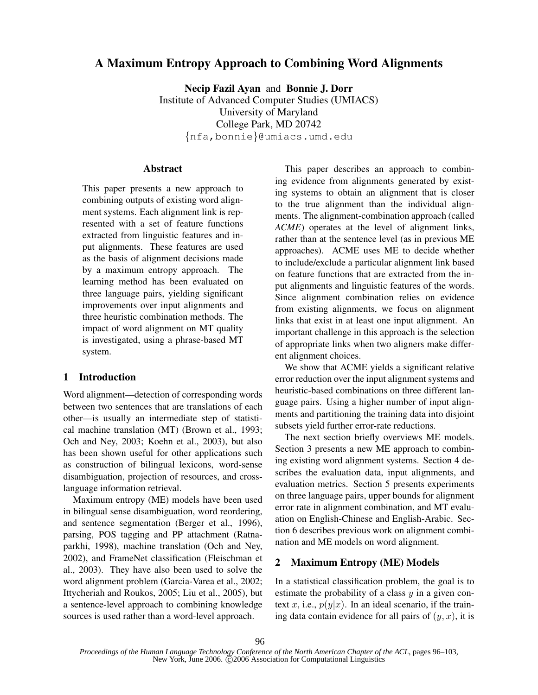# A Maximum Entropy Approach to Combining Word Alignments

Necip Fazil Ayan and Bonnie J. Dorr Institute of Advanced Computer Studies (UMIACS) University of Maryland College Park, MD 20742 {nfa,bonnie}@umiacs.umd.edu

## Abstract

This paper presents a new approach to combining outputs of existing word alignment systems. Each alignment link is represented with a set of feature functions extracted from linguistic features and input alignments. These features are used as the basis of alignment decisions made by a maximum entropy approach. The learning method has been evaluated on three language pairs, yielding significant improvements over input alignments and three heuristic combination methods. The impact of word alignment on MT quality is investigated, using a phrase-based MT system.

## 1 Introduction

Word alignment—detection of corresponding words between two sentences that are translations of each other—is usually an intermediate step of statistical machine translation (MT) (Brown et al., 1993; Och and Ney, 2003; Koehn et al., 2003), but also has been shown useful for other applications such as construction of bilingual lexicons, word-sense disambiguation, projection of resources, and crosslanguage information retrieval.

Maximum entropy (ME) models have been used in bilingual sense disambiguation, word reordering, and sentence segmentation (Berger et al., 1996), parsing, POS tagging and PP attachment (Ratnaparkhi, 1998), machine translation (Och and Ney, 2002), and FrameNet classification (Fleischman et al., 2003). They have also been used to solve the word alignment problem (Garcia-Varea et al., 2002; Ittycheriah and Roukos, 2005; Liu et al., 2005), but a sentence-level approach to combining knowledge sources is used rather than a word-level approach.

This paper describes an approach to combining evidence from alignments generated by existing systems to obtain an alignment that is closer to the true alignment than the individual alignments. The alignment-combination approach (called *ACME*) operates at the level of alignment links, rather than at the sentence level (as in previous ME approaches). ACME uses ME to decide whether to include/exclude a particular alignment link based on feature functions that are extracted from the input alignments and linguistic features of the words. Since alignment combination relies on evidence from existing alignments, we focus on alignment links that exist in at least one input alignment. An important challenge in this approach is the selection of appropriate links when two aligners make different alignment choices.

We show that ACME yields a significant relative error reduction over the input alignment systems and heuristic-based combinations on three different language pairs. Using a higher number of input alignments and partitioning the training data into disjoint subsets yield further error-rate reductions.

The next section briefly overviews ME models. Section 3 presents a new ME approach to combining existing word alignment systems. Section 4 describes the evaluation data, input alignments, and evaluation metrics. Section 5 presents experiments on three language pairs, upper bounds for alignment error rate in alignment combination, and MT evaluation on English-Chinese and English-Arabic. Section 6 describes previous work on alignment combination and ME models on word alignment.

### 2 Maximum Entropy (ME) Models

In a statistical classification problem, the goal is to estimate the probability of a class  $y$  in a given context x, i.e.,  $p(y|x)$ . In an ideal scenario, if the training data contain evidence for all pairs of  $(y, x)$ , it is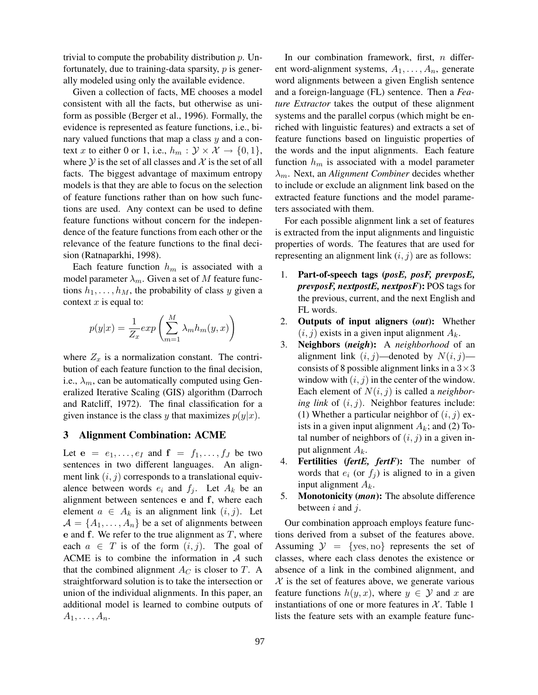trivial to compute the probability distribution  $p$ . Unfortunately, due to training-data sparsity,  $p$  is generally modeled using only the available evidence.

Given a collection of facts, ME chooses a model consistent with all the facts, but otherwise as uniform as possible (Berger et al., 1996). Formally, the evidence is represented as feature functions, i.e., binary valued functions that map a class  $y$  and a context x to either 0 or 1, i.e.,  $h_m : \mathcal{Y} \times \mathcal{X} \to \{0, 1\},\$ where  $\mathcal Y$  is the set of all classes and  $\mathcal X$  is the set of all facts. The biggest advantage of maximum entropy models is that they are able to focus on the selection of feature functions rather than on how such functions are used. Any context can be used to define feature functions without concern for the independence of the feature functions from each other or the relevance of the feature functions to the final decision (Ratnaparkhi, 1998).

Each feature function  $h_m$  is associated with a model parameter  $\lambda_m$ . Given a set of M feature functions  $h_1, \ldots, h_M$ , the probability of class y given a context  $x$  is equal to:

$$
p(y|x) = \frac{1}{Z_x} exp\left(\sum_{m=1}^{M} \lambda_m h_m(y, x)\right)
$$

where  $Z_x$  is a normalization constant. The contribution of each feature function to the final decision, i.e.,  $\lambda_m$ , can be automatically computed using Generalized Iterative Scaling (GIS) algorithm (Darroch and Ratcliff, 1972). The final classification for a given instance is the class y that maximizes  $p(y|x)$ .

#### 3 Alignment Combination: ACME

Let  $e = e_1, \ldots, e_I$  and  $f = f_1, \ldots, f_J$  be two sentences in two different languages. An alignment link  $(i, j)$  corresponds to a translational equivalence between words  $e_i$  and  $f_j$ . Let  $A_k$  be an alignment between sentences e and f, where each element  $a \in A_k$  is an alignment link  $(i, j)$ . Let  $A = \{A_1, \ldots, A_n\}$  be a set of alignments between e and f. We refer to the true alignment as  $T$ , where each  $a \in T$  is of the form  $(i, j)$ . The goal of ACME is to combine the information in  $A$  such that the combined alignment  $A_C$  is closer to  $T$ . A straightforward solution is to take the intersection or union of the individual alignments. In this paper, an additional model is learned to combine outputs of  $A_1, \ldots, A_n$ .

In our combination framework, first,  $n$  different word-alignment systems, A1, . . . , A*n*, generate word alignments between a given English sentence and a foreign-language (FL) sentence. Then a *Feature Extractor* takes the output of these alignment systems and the parallel corpus (which might be enriched with linguistic features) and extracts a set of feature functions based on linguistic properties of the words and the input alignments. Each feature function  $h_m$  is associated with a model parameter λ*m*. Next, an *Alignment Combiner* decides whether to include or exclude an alignment link based on the extracted feature functions and the model parameters associated with them.

For each possible alignment link a set of features is extracted from the input alignments and linguistic properties of words. The features that are used for representing an alignment link  $(i, j)$  are as follows:

- 1. Part-of-speech tags (*posE, posF, prevposE, prevposF, nextpostE, nextposF*): POS tags for the previous, current, and the next English and FL words.
- 2. Outputs of input aligners (*out*): Whether  $(i, j)$  exists in a given input alignment  $A_k$ .
- 3. Neighbors (*neigh*): A *neighborhood* of an alignment link  $(i, j)$ —denoted by  $N(i, j)$  consists of 8 possible alignment links in a  $3 \times 3$ window with  $(i, j)$  in the center of the window. Each element of N(i, j) is called a *neighboring link* of  $(i, j)$ . Neighbor features include: (1) Whether a particular neighbor of  $(i, j)$  exists in a given input alignment  $A_k$ ; and (2) Total number of neighbors of  $(i, j)$  in a given input alignment A*k*.
- 4. Fertilities (*fertE, fertF*): The number of words that  $e_i$  (or  $f_i$ ) is aligned to in a given input alignment A*k*.
- 5. Monotonicity (*mon*): The absolute difference between *i* and *j*.

Our combination approach employs feature functions derived from a subset of the features above. Assuming  $\mathcal{Y} = \{$ yes, no represents the set of classes, where each class denotes the existence or absence of a link in the combined alignment, and  $X$  is the set of features above, we generate various feature functions  $h(y, x)$ , where  $y \in Y$  and x are instantiations of one or more features in  $X$ . Table 1 lists the feature sets with an example feature func-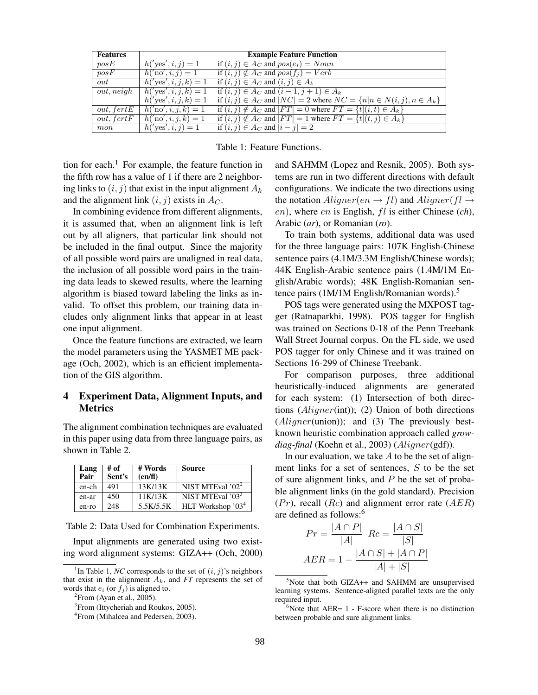| <b>Features</b> |                              | <b>Example Feature Function</b>                                                  |
|-----------------|------------------------------|----------------------------------------------------------------------------------|
| posE            | $h('yes', i, j) = 1$         | if $(i, j) \in A_C$ and $pos(e_i) = Noun$                                        |
| posF            | $h('no', i, j) = 1$          | if $(i, j) \notin A_C$ and $pos(f_i) = Verb$                                     |
| out             | $h('yes', i, j, k) = 1$      | if $(i, j) \in A_C$ and $(i, j) \in A_k$                                         |
| out, neigh      | $h('yes', i, j, k) = 1$      | if $(i, j) \in A_C$ and $(i - 1, j + 1) \in A_k$                                 |
|                 | $h('yes', i, j, k) = 1$      | if $(i, j) \in A_C$ and $ NC  = 2$ where $NC = \{n   n \in N(i, j), n \in A_k\}$ |
| out, fertE      | $h({\rm 'no'}, i, j, k) = 1$ | if $(i, j) \notin A_C$ and $ FT  = 0$ where $FT = \{t   (i, t) \in A_k\}$        |
| out, fertF      | $h({\rm 'no', }i,j,k)=1$     | if $(i, j) \notin A_C$ and $ FT  = 1$ where $FT = \{t   (t, j) \in A_k\}$        |
| mon             | $h('yes', i, j) = 1$         | if $(i, j) \in A_C$ and $ i - j  = 2$                                            |

Table 1: Feature Functions.

tion for each.<sup>1</sup> For example, the feature function in the fifth row has a value of 1 if there are 2 neighboring links to  $(i, j)$  that exist in the input alignment  $A_k$ and the alignment link  $(i, j)$  exists in  $A_C$ .

In combining evidence from different alignments, it is assumed that, when an alignment link is left out by all aligners, that particular link should not be included in the final output. Since the majority of all possible word pairs are unaligned in real data, the inclusion of all possible word pairs in the training data leads to skewed results, where the learning algorithm is biased toward labeling the links as invalid. To offset this problem, our training data includes only alignment links that appear in at least one input alignment.

Once the feature functions are extracted, we learn the model parameters using the YASMET ME package (Och, 2002), which is an efficient implementation of the GIS algorithm.

# 4 Experiment Data, Alignment Inputs, and **Metrics**

The alignment combination techniques are evaluated in this paper using data from three language pairs, as shown in Table 2.

| Lang<br>Pair | # of<br>Sent's | # Words<br>(en/f) | <b>Source</b>                 |
|--------------|----------------|-------------------|-------------------------------|
| en-ch        | 491            | 13K/13K           | NIST MTEval $2^2$             |
| en-ar        | 450            | 11K/13K           | NIST MTEval '03 <sup>3</sup>  |
| en-ro        | 248            | 5.5K/5.5K         | HLT Workshop '03 <sup>4</sup> |

Table 2: Data Used for Combination Experiments.

 ${}^{2}$ From (Ayan et al., 2005).

and SAHMM (Lopez and Resnik, 2005). Both systems are run in two different directions with default configurations. We indicate the two directions using the notation  $Aligner(en \rightarrow fl)$  and  $Aligner(f \rightarrow$ en), where en is English, fl is either Chinese (*ch*), Arabic (*ar*), or Romanian (*ro*).

To train both systems, additional data was used for the three language pairs: 107K English-Chinese sentence pairs (4.1M/3.3M English/Chinese words); 44K English-Arabic sentence pairs (1.4M/1M English/Arabic words); 48K English-Romanian sentence pairs (1M/1M English/Romanian words).<sup>5</sup>

POS tags were generated using the MXPOST tagger (Ratnaparkhi, 1998). POS tagger for English was trained on Sections 0-18 of the Penn Treebank Wall Street Journal corpus. On the FL side, we used POS tagger for only Chinese and it was trained on Sections 16-299 of Chinese Treebank.

For comparison purposes, three additional heuristically-induced alignments are generated for each system: (1) Intersection of both directions  $(Aligner(int))$ ; (2) Union of both directions (*Aligner*(union)); and (3) The previously bestknown heuristic combination approach called *growdiag-final* (Koehn et al., 2003) (Aligner(gdf)).

In our evaluation, we take  $A$  to be the set of alignment links for a set of sentences, S to be the set of sure alignment links, and  $P$  be the set of probable alignment links (in the gold standard). Precision  $(Pr)$ , recall  $(Rc)$  and alignment error rate  $(AER)$ are defined as follows:<sup>6</sup>

$$
Pr = \frac{|A \cap P|}{|A|} \quad Re = \frac{|A \cap S|}{|S|}
$$

$$
AER = 1 - \frac{|A \cap S| + |A \cap P|}{|A| + |S|}
$$

Input alignments are generated using two existing word alignment systems: GIZA++ (Och, 2000)

<sup>&</sup>lt;sup>1</sup>In Table 1, *NC* corresponds to the set of  $(i, j)$ 's neighbors that exist in the alignment  $A_k$ , and  $FT$  represents the set of words that  $e_i$  (or  $f_j$ ) is aligned to.

<sup>&</sup>lt;sup>3</sup> From (Ittycheriah and Roukos, 2005).

<sup>4</sup> From (Mihalcea and Pedersen, 2003).

<sup>&</sup>lt;sup>5</sup>Note that both GIZA++ and SAHMM are unsupervised learning systems. Sentence-aligned parallel texts are the only required input.

 $6$ Note that AER=  $1$  - F-score when there is no distinction between probable and sure alignment links.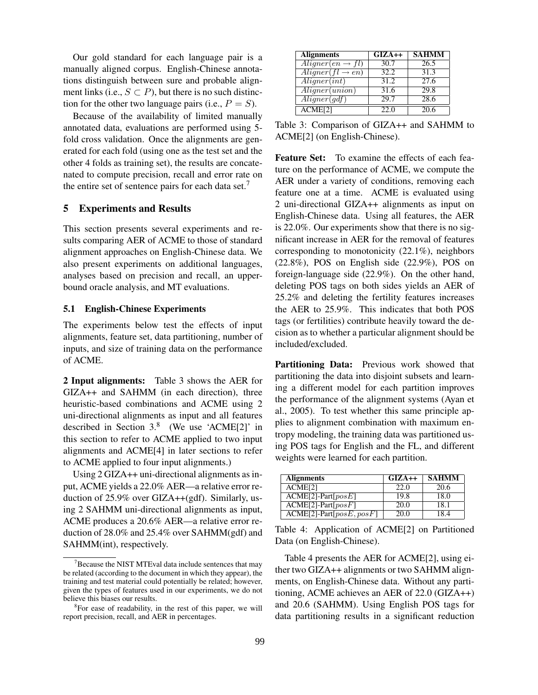Our gold standard for each language pair is a manually aligned corpus. English-Chinese annotations distinguish between sure and probable alignment links (i.e.,  $S \subset P$ ), but there is no such distinction for the other two language pairs (i.e.,  $P = S$ ).

Because of the availability of limited manually annotated data, evaluations are performed using 5 fold cross validation. Once the alignments are generated for each fold (using one as the test set and the other 4 folds as training set), the results are concatenated to compute precision, recall and error rate on the entire set of sentence pairs for each data set.<sup>7</sup>

### 5 Experiments and Results

This section presents several experiments and results comparing AER of ACME to those of standard alignment approaches on English-Chinese data. We also present experiments on additional languages, analyses based on precision and recall, an upperbound oracle analysis, and MT evaluations.

#### 5.1 English-Chinese Experiments

The experiments below test the effects of input alignments, feature set, data partitioning, number of inputs, and size of training data on the performance of ACME.

2 Input alignments: Table 3 shows the AER for GIZA++ and SAHMM (in each direction), three heuristic-based combinations and ACME using 2 uni-directional alignments as input and all features described in Section  $3<sup>8</sup>$  (We use 'ACME[2]' in this section to refer to ACME applied to two input alignments and ACME[4] in later sections to refer to ACME applied to four input alignments.)

Using  $2$  GIZA $++$  uni-directional alignments as input, ACME yields a 22.0% AER—a relative error reduction of 25.9% over GIZA++(gdf). Similarly, using 2 SAHMM uni-directional alignments as input, ACME produces a 20.6% AER—a relative error reduction of 28.0% and 25.4% over SAHMM(gdf) and SAHMM(int), respectively.

| <b>Alignments</b>              | $GIZA++$ | <b>SAHMM</b> |
|--------------------------------|----------|--------------|
| $A ligner(en \rightarrow fl)$  | 30.7     | 26.5         |
| $A ligner (fl \rightarrow en)$ | 32.2     | 31.3         |
| $\overline{Aligner(int)}$      | 31.2     | 27.6         |
| A ligner(union)                | 31.6     | 29.8         |
| $\overline{Aligner(gdf)}$      | 29.7     | 28.6         |
| $\overline{ACME[2]}$           | 22.0     | 20.6         |

Table 3: Comparison of GIZA++ and SAHMM to ACME[2] (on English-Chinese).

Feature Set: To examine the effects of each feature on the performance of ACME, we compute the AER under a variety of conditions, removing each feature one at a time. ACME is evaluated using 2 uni-directional GIZA++ alignments as input on English-Chinese data. Using all features, the AER is 22.0%. Our experiments show that there is no significant increase in AER for the removal of features corresponding to monotonicity (22.1%), neighbors (22.8%), POS on English side (22.9%), POS on foreign-language side (22.9%). On the other hand, deleting POS tags on both sides yields an AER of 25.2% and deleting the fertility features increases the AER to 25.9%. This indicates that both POS tags (or fertilities) contribute heavily toward the decision as to whether a particular alignment should be included/excluded.

Partitioning Data: Previous work showed that partitioning the data into disjoint subsets and learning a different model for each partition improves the performance of the alignment systems (Ayan et al., 2005). To test whether this same principle applies to alignment combination with maximum entropy modeling, the training data was partitioned using POS tags for English and the FL, and different weights were learned for each partition.

| <b>Alignments</b>                   | $GIZA++$ | <b>SAHMM</b> |
|-------------------------------------|----------|--------------|
| ACME <sub>[2]</sub>                 | 22.0     | 20.6         |
| $ACME[2]$ -Part $[posE]$            | 19.8     | 18.0         |
| $\overline{ACME[2]}$ -Part $[posF]$ | 20.0     | 18.1         |
| $ACME[2]$ -Part $[posE, posF]$      | 20.0     | 18.4         |

Table 4: Application of ACME[2] on Partitioned Data (on English-Chinese).

Table 4 presents the AER for ACME[2], using either two GIZA++ alignments or two SAHMM alignments, on English-Chinese data. Without any partitioning, ACME achieves an AER of 22.0 (GIZA++) and 20.6 (SAHMM). Using English POS tags for data partitioning results in a significant reduction

 $7$ Because the NIST MTEval data include sentences that may be related (according to the document in which they appear), the training and test material could potentially be related; however, given the types of features used in our experiments, we do not believe this biases our results.

<sup>&</sup>lt;sup>8</sup>For ease of readability, in the rest of this paper, we will report precision, recall, and AER in percentages.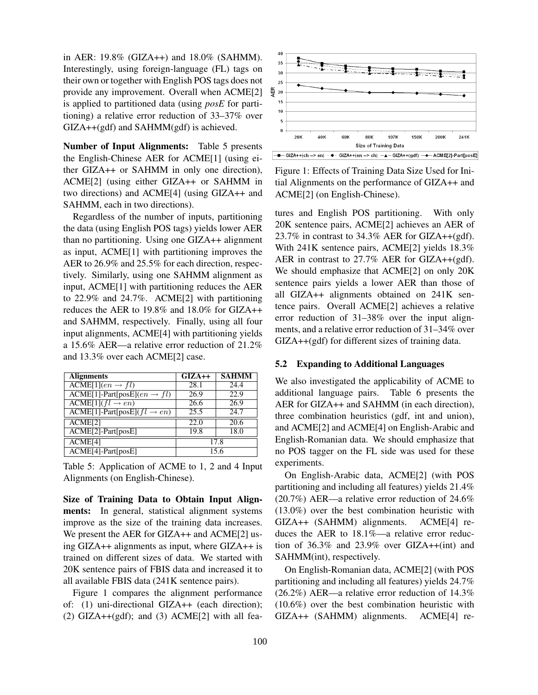in AER: 19.8% (GIZA++) and 18.0% (SAHMM). Interestingly, using foreign-language (FL) tags on their own or together with English POS tags does not provide any improvement. Overall when ACME[2] is applied to partitioned data (using *posE* for partitioning) a relative error reduction of 33–37% over GIZA++(gdf) and SAHMM(gdf) is achieved.

Number of Input Alignments: Table 5 presents the English-Chinese AER for ACME[1] (using either GIZA++ or SAHMM in only one direction), ACME[2] (using either GIZA++ or SAHMM in two directions) and ACME[4] (using GIZA++ and SAHMM, each in two directions).

Regardless of the number of inputs, partitioning the data (using English POS tags) yields lower AER than no partitioning. Using one GIZA++ alignment as input, ACME[1] with partitioning improves the AER to 26.9% and 25.5% for each direction, respectively. Similarly, using one SAHMM alignment as input, ACME[1] with partitioning reduces the AER to 22.9% and 24.7%. ACME[2] with partitioning reduces the AER to 19.8% and 18.0% for GIZA++ and SAHMM, respectively. Finally, using all four input alignments, ACME[4] with partitioning yields a 15.6% AER—a relative error reduction of 21.2% and 13.3% over each ACME[2] case.

| <b>Alignments</b>                                       | $\overline{GIZ}A++$ | <b>SAHMM</b> |
|---------------------------------------------------------|---------------------|--------------|
| $\overline{\text{ACME}[1](en \rightarrow fl)}$          | 28.1                | 24.4         |
| $\text{ACME}[1]$ -Part[posE]( $en \rightarrow fl$ )     | 26.9                | 22.9         |
| $\overline{\text{ACME}[1](fl \rightarrow en)}$          | 26.6                | 26.9         |
| $\overline{ACME[1]}$ -Part[posE]( $fl \rightarrow en$ ) | 25.5                | 24.7         |
| ACME[2]                                                 | 22.0                | 20.6         |
| $ACME[2]$ -Part[posE]                                   | 19.8                | 18.0         |
| ACME <sup>[4]</sup>                                     |                     | 17.8         |
| ACME[4]-Part[posE]                                      |                     | 15.6         |

Table 5: Application of ACME to 1, 2 and 4 Input Alignments (on English-Chinese).

Size of Training Data to Obtain Input Alignments: In general, statistical alignment systems improve as the size of the training data increases. We present the AER for GIZA++ and ACME[2] using GIZA++ alignments as input, where GIZA++ is trained on different sizes of data. We started with 20K sentence pairs of FBIS data and increased it to all available FBIS data (241K sentence pairs).

Figure 1 compares the alignment performance of: (1) uni-directional GIZA++ (each direction);  $(2)$  GIZA++ $(gdf)$ ; and  $(3)$  ACME $[2]$  with all fea-



Figure 1: Effects of Training Data Size Used for Initial Alignments on the performance of GIZA++ and ACME[2] (on English-Chinese).

tures and English POS partitioning. With only 20K sentence pairs, ACME[2] achieves an AER of 23.7% in contrast to 34.3% AER for GIZA++(gdf). With 241K sentence pairs, ACME[2] yields 18.3% AER in contrast to 27.7% AER for GIZA++(gdf). We should emphasize that ACME[2] on only 20K sentence pairs yields a lower AER than those of all GIZA++ alignments obtained on 241K sentence pairs. Overall ACME[2] achieves a relative error reduction of 31–38% over the input alignments, and a relative error reduction of 31–34% over GIZA++(gdf) for different sizes of training data.

#### 5.2 Expanding to Additional Languages

We also investigated the applicability of ACME to additional language pairs. Table 6 presents the AER for GIZA++ and SAHMM (in each direction), three combination heuristics (gdf, int and union), and ACME[2] and ACME[4] on English-Arabic and English-Romanian data. We should emphasize that no POS tagger on the FL side was used for these experiments.

On English-Arabic data, ACME[2] (with POS partitioning and including all features) yields 21.4% (20.7%) AER—a relative error reduction of 24.6% (13.0%) over the best combination heuristic with GIZA++ (SAHMM) alignments. ACME[4] reduces the AER to 18.1%—a relative error reduction of 36.3% and 23.9% over GIZA++(int) and SAHMM(int), respectively.

On English-Romanian data, ACME[2] (with POS partitioning and including all features) yields 24.7% (26.2%) AER—a relative error reduction of 14.3% (10.6%) over the best combination heuristic with GIZA++ (SAHMM) alignments. ACME[4] re-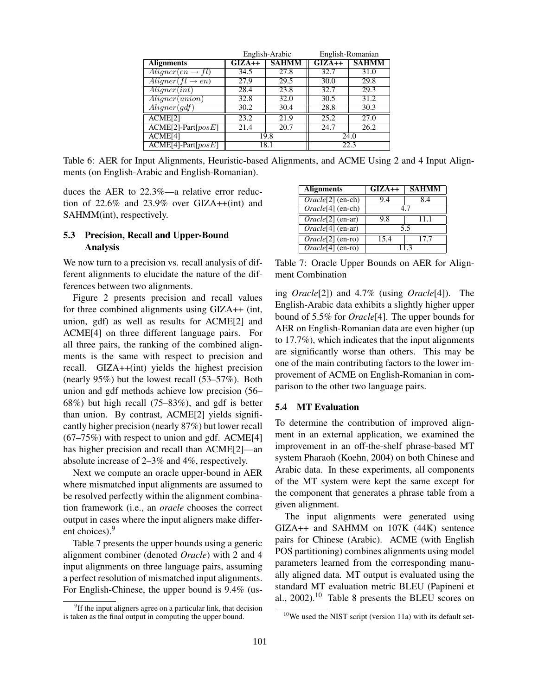|                                 | English-Arabic |              | English-Romanian |              |
|---------------------------------|----------------|--------------|------------------|--------------|
| <b>Alignments</b>               | $GIZA++$       | <b>SAHMM</b> | $GIZA++$         | <b>SAHMM</b> |
| $\overline{Aligner(en \to fl)}$ | 34.5           | 27.8         | 32.7             | 31.0         |
| $Alinear(H \rightarrow en)$     | 27.9           | 29.5         | 30.0             | 29.8         |
| A ligner(int)                   | 28.4           | 23.8         | 32.7             | 29.3         |
| A ligner(union)                 | 32.8           | 32.0         | 30.5             | 31.2         |
| $\overline{Aligner(g} df)$      | 30.2           | 30.4         | 28.8             | 30.3         |
| ACME[2]                         | 23.2           | 21.9         | 25.2             | 27.0         |
| $ACME[2]$ -Part $[posE]$        | 21.4           | 20.7         | 24.7             | 26.2         |
| ACME[4]                         | 19.8           |              |                  | 24.0         |
| $ACME[4]$ -Part $[posE]$        | 18.1           |              |                  | 22.3         |

Table 6: AER for Input Alignments, Heuristic-based Alignments, and ACME Using 2 and 4 Input Alignments (on English-Arabic and English-Romanian).

duces the AER to 22.3%—a relative error reduction of 22.6% and 23.9% over GIZA++(int) and SAHMM(int), respectively.

## 5.3 Precision, Recall and Upper-Bound Analysis

We now turn to a precision vs. recall analysis of different alignments to elucidate the nature of the differences between two alignments.

Figure 2 presents precision and recall values for three combined alignments using GIZA++ (int, union, gdf) as well as results for ACME[2] and ACME[4] on three different language pairs. For all three pairs, the ranking of the combined alignments is the same with respect to precision and recall. GIZA++(int) yields the highest precision (nearly 95%) but the lowest recall (53–57%). Both union and gdf methods achieve low precision (56– 68%) but high recall (75–83%), and gdf is better than union. By contrast, ACME[2] yields significantly higher precision (nearly 87%) but lower recall  $(67–75%)$  with respect to union and gdf. ACME[4] has higher precision and recall than ACME[2]—an absolute increase of 2–3% and 4%, respectively.

Next we compute an oracle upper-bound in AER where mismatched input alignments are assumed to be resolved perfectly within the alignment combination framework (i.e., an *oracle* chooses the correct output in cases where the input aligners make different choices).<sup>9</sup>

Table 7 presents the upper bounds using a generic alignment combiner (denoted *Oracle*) with 2 and 4 input alignments on three language pairs, assuming a perfect resolution of mismatched input alignments. For English-Chinese, the upper bound is 9.4% (us-

| <b>Alignments</b>              | $GIZA++$ | <b>SAHM</b> |
|--------------------------------|----------|-------------|
| $\overline{Oracle[2]$ (en-ch)  | 9.4      | 8.4         |
| $\overline{Oracle[4] (en-ch)}$ | 47       |             |
| $Oracle[2] (en-ar)$            | 9.8      | 11.1        |
| $\overline{Oracle[4]}$ (en-ar) |          | 55          |
| $Oracle[2]$ (en-ro)            | 15.4     | 17.7        |
| $Oracle[4] (en-ro)$            | 113      |             |

Table 7: Oracle Upper Bounds on AER for Alignment Combination

ing *Oracle*[2]) and 4.7% (using *Oracle*[4]). The English-Arabic data exhibits a slightly higher upper bound of 5.5% for *Oracle*[4]. The upper bounds for AER on English-Romanian data are even higher (up to 17.7%), which indicates that the input alignments are significantly worse than others. This may be one of the main contributing factors to the lower improvement of ACME on English-Romanian in comparison to the other two language pairs.

#### 5.4 MT Evaluation

To determine the contribution of improved alignment in an external application, we examined the improvement in an off-the-shelf phrase-based MT system Pharaoh (Koehn, 2004) on both Chinese and Arabic data. In these experiments, all components of the MT system were kept the same except for the component that generates a phrase table from a given alignment.

The input alignments were generated using GIZA++ and SAHMM on 107K (44K) sentence pairs for Chinese (Arabic). ACME (with English POS partitioning) combines alignments using model parameters learned from the corresponding manually aligned data. MT output is evaluated using the standard MT evaluation metric BLEU (Papineni et al.,  $2002$ ).<sup>10</sup> Table 8 presents the BLEU scores on

<sup>&</sup>lt;sup>9</sup>If the input aligners agree on a particular link, that decision is taken as the final output in computing the upper bound.

 $10$ We used the NIST script (version 11a) with its default set-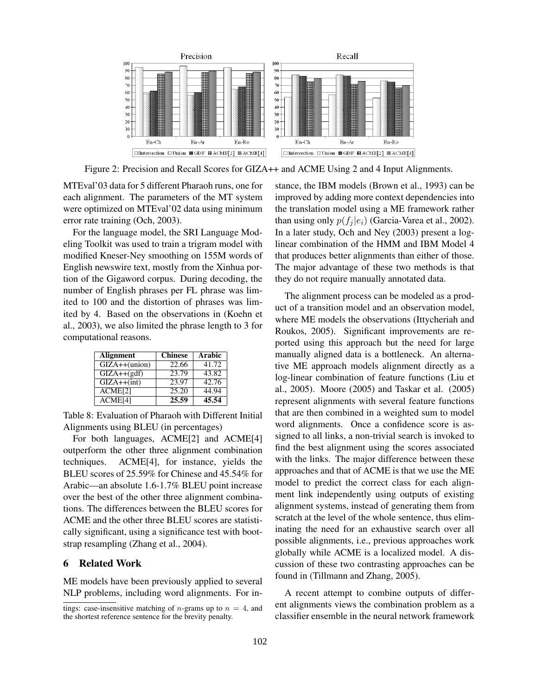

Figure 2: Precision and Recall Scores for GIZA++ and ACME Using 2 and 4 Input Alignments.

MTEval'03 data for 5 different Pharaoh runs, one for each alignment. The parameters of the MT system were optimized on MTEval'02 data using minimum error rate training (Och, 2003).

For the language model, the SRI Language Modeling Toolkit was used to train a trigram model with modified Kneser-Ney smoothing on 155M words of English newswire text, mostly from the Xinhua portion of the Gigaword corpus. During decoding, the number of English phrases per FL phrase was limited to 100 and the distortion of phrases was limited by 4. Based on the observations in (Koehn et al., 2003), we also limited the phrase length to 3 for computational reasons.

| <b>Alignment</b>    | <b>Chinese</b> | Arabic |
|---------------------|----------------|--------|
| $GIZA++(union)$     | 22.66          | 41.72  |
| $GIZA++(gdf)$       | 23.79          | 43.82  |
| $GIZA++(int)$       | 23.97          | 42.76  |
| ACME <sup>[2]</sup> | 25.20          | 44.94  |
| ACME[4]             | 25.59          | 45.54  |

Table 8: Evaluation of Pharaoh with Different Initial Alignments using BLEU (in percentages)

For both languages, ACME[2] and ACME[4] outperform the other three alignment combination techniques. ACME[4], for instance, yields the BLEU scores of 25.59% for Chinese and 45.54% for Arabic—an absolute 1.6-1.7% BLEU point increase over the best of the other three alignment combinations. The differences between the BLEU scores for ACME and the other three BLEU scores are statistically significant, using a significance test with bootstrap resampling (Zhang et al., 2004).

#### 6 Related Work

ME models have been previously applied to several NLP problems, including word alignments. For instance, the IBM models (Brown et al., 1993) can be improved by adding more context dependencies into the translation model using a ME framework rather than using only  $p(f_i | e_i)$  (Garcia-Varea et al., 2002). In a later study, Och and Ney (2003) present a loglinear combination of the HMM and IBM Model 4 that produces better alignments than either of those. The major advantage of these two methods is that they do not require manually annotated data.

The alignment process can be modeled as a product of a transition model and an observation model, where ME models the observations (Ittycheriah and Roukos, 2005). Significant improvements are reported using this approach but the need for large manually aligned data is a bottleneck. An alternative ME approach models alignment directly as a log-linear combination of feature functions (Liu et al., 2005). Moore (2005) and Taskar et al. (2005) represent alignments with several feature functions that are then combined in a weighted sum to model word alignments. Once a confidence score is assigned to all links, a non-trivial search is invoked to find the best alignment using the scores associated with the links. The major difference between these approaches and that of ACME is that we use the ME model to predict the correct class for each alignment link independently using outputs of existing alignment systems, instead of generating them from scratch at the level of the whole sentence, thus eliminating the need for an exhaustive search over all possible alignments, i.e., previous approaches work globally while ACME is a localized model. A discussion of these two contrasting approaches can be found in (Tillmann and Zhang, 2005).

A recent attempt to combine outputs of different alignments views the combination problem as a classifier ensemble in the neural network framework

tings: case-insensitive matching of *n*-grams up to  $n = 4$ , and the shortest reference sentence for the brevity penalty.